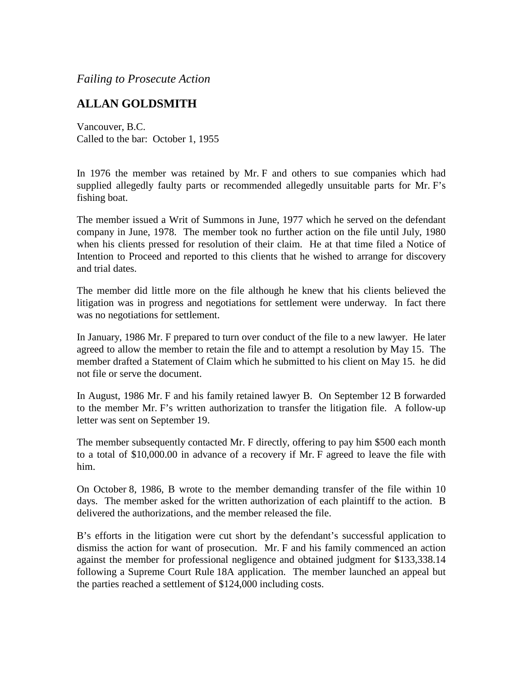*Failing to Prosecute Action*

## **ALLAN GOLDSMITH**

Vancouver, B.C. Called to the bar: October 1, 1955

In 1976 the member was retained by Mr. F and others to sue companies which had supplied allegedly faulty parts or recommended allegedly unsuitable parts for Mr. F's fishing boat.

The member issued a Writ of Summons in June, 1977 which he served on the defendant company in June, 1978. The member took no further action on the file until July, 1980 when his clients pressed for resolution of their claim. He at that time filed a Notice of Intention to Proceed and reported to this clients that he wished to arrange for discovery and trial dates.

The member did little more on the file although he knew that his clients believed the litigation was in progress and negotiations for settlement were underway. In fact there was no negotiations for settlement.

In January, 1986 Mr. F prepared to turn over conduct of the file to a new lawyer. He later agreed to allow the member to retain the file and to attempt a resolution by May 15. The member drafted a Statement of Claim which he submitted to his client on May 15. he did not file or serve the document.

In August, 1986 Mr. F and his family retained lawyer B. On September 12 B forwarded to the member Mr. F's written authorization to transfer the litigation file. A follow-up letter was sent on September 19.

The member subsequently contacted Mr. F directly, offering to pay him \$500 each month to a total of \$10,000.00 in advance of a recovery if Mr. F agreed to leave the file with him.

On October 8, 1986, B wrote to the member demanding transfer of the file within 10 days. The member asked for the written authorization of each plaintiff to the action. B delivered the authorizations, and the member released the file.

B's efforts in the litigation were cut short by the defendant's successful application to dismiss the action for want of prosecution. Mr. F and his family commenced an action against the member for professional negligence and obtained judgment for \$133,338.14 following a Supreme Court Rule 18A application. The member launched an appeal but the parties reached a settlement of \$124,000 including costs.